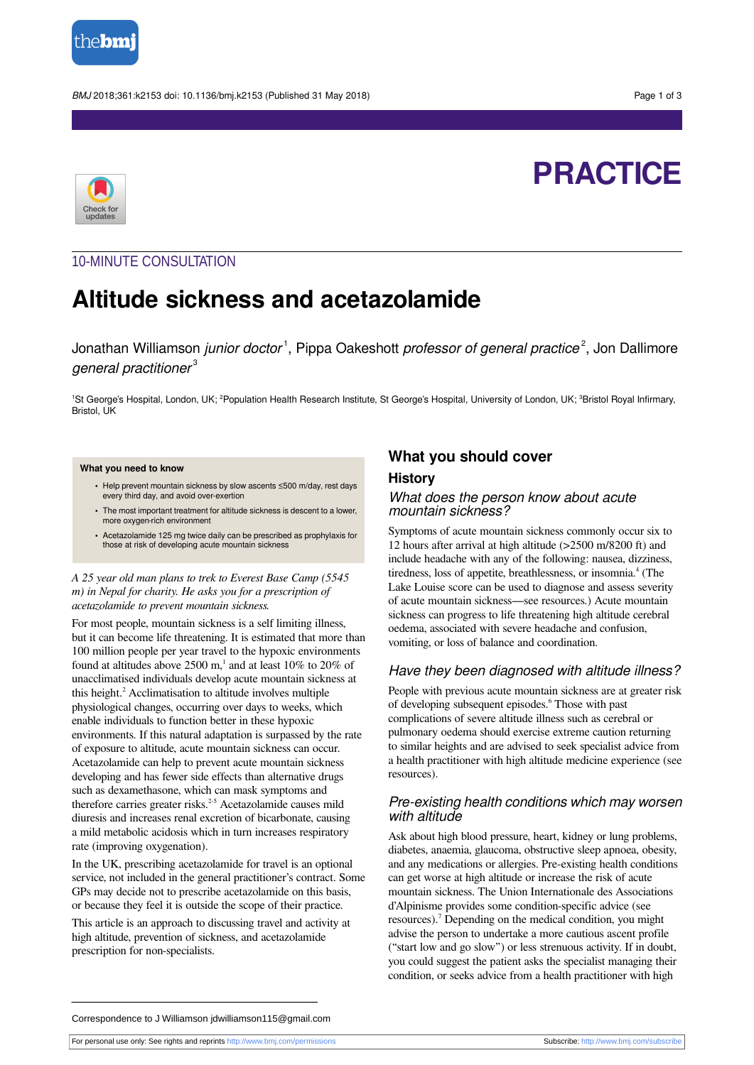

BMJ 2018;361:k2153 doi: 10.1136/bmj.k2153 (Published 31 May 2018) Page 1 of 3



# **PRACTICE**

## 10-MINUTE CONSULTATION

## **Altitude sickness and acetazolamide**

Jonathan Williamson *junior doctor*<sup>1</sup>, Pippa Oakeshott *professor of general practice<sup>2</sup>,* Jon Dallimore general practitioner $^{\rm 3}$ 

<sup>1</sup>St George's Hospital, London, UK; <sup>2</sup>Population Health Research Institute, St George's Hospital, University of London, UK; <sup>3</sup>Bristol Royal Infirmary, Bristol, UK

#### **What you need to know**

- **•** Help prevent mountain sickness by slow ascents ≤500 m/day, rest days every third day, and avoid over-exertion
- **•** The most important treatment for altitude sickness is descent to a lower, more oxygen-rich environment
- **•** Acetazolamide 125 mg twice daily can be prescribed as prophylaxis for those at risk of developing acute mountain sickness

#### *A 25 year old man plans to trek to Everest Base Camp (5545 m) in Nepal for charity. He asks you for a prescription of acetazolamide to prevent mountain sickness.*

For most people, mountain sickness is a self limiting illness, but it can become life threatening. It is estimated that more than 100 million people per year travel to the hypoxic environments found at altitudes above 2500 m,<sup>1</sup> and at least 10% to 20% of unacclimatised individuals develop acute mountain sickness at this height.<sup>2</sup> Acclimatisation to altitude involves multiple physiological changes, occurring over days to weeks, which enable individuals to function better in these hypoxic environments. If this natural adaptation is surpassed by the rate of exposure to altitude, acute mountain sickness can occur. Acetazolamide can help to prevent acute mountain sickness developing and has fewer side effects than alternative drugs such as dexamethasone, which can mask symptoms and therefore carries greater risks. 2-5 Acetazolamide causes mild diuresis and increases renal excretion of bicarbonate, causing a mild metabolic acidosis which in turn increases respiratory rate (improving oxygenation).

In the UK, prescribing acetazolamide for travel is an optional service, not included in the general practitioner's contract. Some GPs may decide not to prescribe acetazolamide on this basis, or because they feel it is outside the scope of their practice.

This article is an approach to discussing travel and activity at high altitude, prevention of sickness, and acetazolamide prescription for non-specialists.

## **What you should cover**

## **History**

## What does the person know about acute mountain sickness?

Symptoms of acute mountain sickness commonly occur six to 12 hours after arrival at high altitude (>2500 m/8200 ft) and include headache with any of the following: nausea, dizziness, tiredness, loss of appetite, breathlessness, or insomnia.<sup>4</sup> (The Lake Louise score can be used to diagnose and assess severity of acute mountain sickness—see resources.) Acute mountain sickness can progress to life threatening high altitude cerebral oedema, associated with severe headache and confusion, vomiting, or loss of balance and coordination.

## Have they been diagnosed with altitude illness?

People with previous acute mountain sickness are at greater risk of developing subsequent episodes. 6 Those with past complications of severe altitude illness such as cerebral or pulmonary oedema should exercise extreme caution returning to similar heights and are advised to seek specialist advice from a health practitioner with high altitude medicine experience (see resources).

## Pre-existing health conditions which may worsen with altitude

Ask about high blood pressure, heart, kidney or lung problems, diabetes, anaemia, glaucoma, obstructive sleep apnoea, obesity, and any medications or allergies. Pre-existing health conditions can get worse at high altitude or increase the risk of acute mountain sickness. The Union Internationale des Associations d'Alpinisme provides some condition-specific advice (see resources).<sup>7</sup> Depending on the medical condition, you might advise the person to undertake a more cautious ascent profile ("start low and go slow") or less strenuous activity. If in doubt, you could suggest the patient asks the specialist managing their condition, or seeks advice from a health practitioner with high

Correspondence to J Williamson jdwilliamson115@gmail.com

For personal use only: See rights and reprints<http://www.bmj.com/permissions> Subscribe: <http://www.bmj.com/subscribe>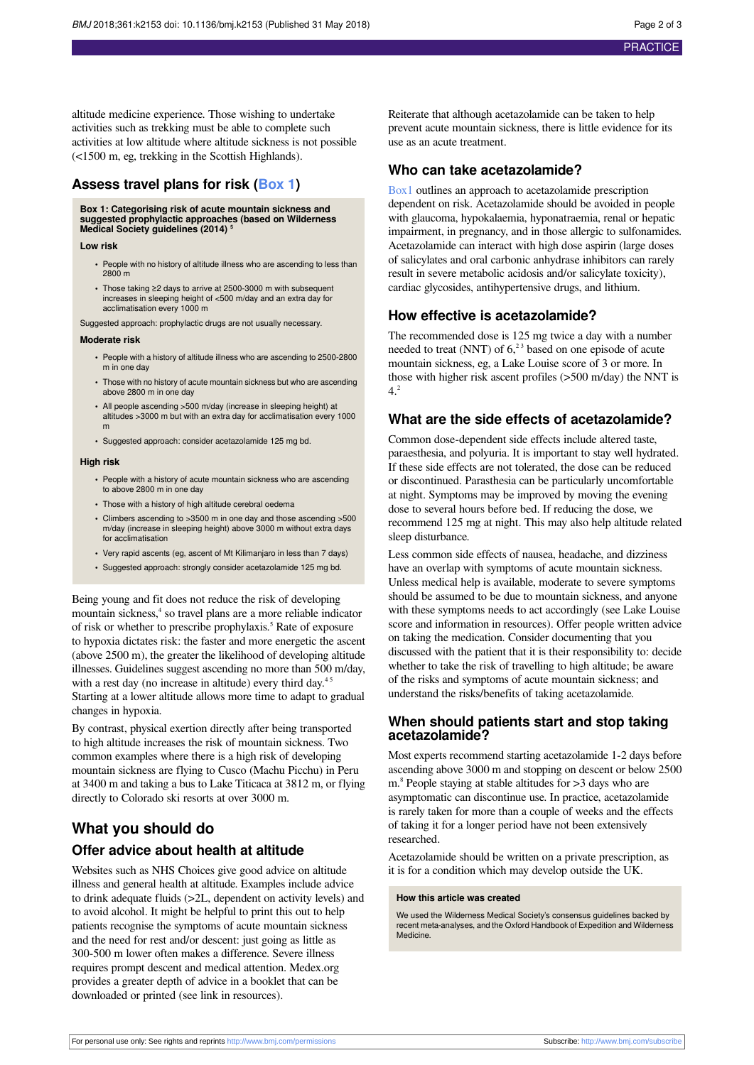altitude medicine experience. Those wishing to undertake activities such as trekking must be able to complete such activities at low altitude where altitude sickness is not possible (<1500 m, eg, trekking in the Scottish Highlands).

## <span id="page-1-0"></span>**Assess travel plans for risk ([Box 1\)](#page-1-0)**

## **Box 1: Categorising risk of acute mountain sickness and suggested prophylactic approaches (based on Wilderness Medical Society guidelines (2014) <sup>5</sup>**

#### **Low risk**

- **•** People with no history of altitude illness who are ascending to less than 2800 m
- **•** Those taking ≥2 days to arrive at 2500-3000 m with subsequent increases in sleeping height of <500 m/day and an extra day for acclimatisation every 1000 m

Suggested approach: prophylactic drugs are not usually necessary.

#### **Moderate risk**

- **•** People with a history of altitude illness who are ascending to 2500-2800 m in one day
- **•** Those with no history of acute mountain sickness but who are ascending above 2800 m in one day
- **•** All people ascending >500 m/day (increase in sleeping height) at altitudes >3000 m but with an extra day for acclimatisation every 1000 m
- **•** Suggested approach: consider acetazolamide 125 mg bd.

#### **High risk**

- **•** People with a history of acute mountain sickness who are ascending to above 2800 m in one day
- **•** Those with a history of high altitude cerebral oedema
- **•** Climbers ascending to >3500 m in one day and those ascending >500 m/day (increase in sleeping height) above 3000 m without extra days for acclimatisation
- **•** Very rapid ascents (eg, ascent of Mt Kilimanjaro in less than 7 days)
- **•** Suggested approach: strongly consider acetazolamide 125 mg bd.

Being young and fit does not reduce the risk of developing mountain sickness,<sup>4</sup> so travel plans are a more reliable indicator of risk or whether to prescribe prophylaxis. 5 Rate of exposure to hypoxia dictates risk: the faster and more energetic the ascent (above 2500 m), the greater the likelihood of developing altitude illnesses. Guidelines suggest ascending no more than 500 m/day, with a rest day (no increase in altitude) every third day.<sup>45</sup> Starting at a lower altitude allows more time to adapt to gradual changes in hypoxia.

By contrast, physical exertion directly after being transported to high altitude increases the risk of mountain sickness. Two common examples where there is a high risk of developing mountain sickness are flying to Cusco (Machu Picchu) in Peru at 3400 m and taking a bus to Lake Titicaca at 3812 m, or flying directly to Colorado ski resorts at over 3000 m.

## **What you should do**

### **Offer advice about health at altitude**

Websites such as NHS Choices give good advice on altitude illness and general health at altitude. Examples include advice to drink adequate fluids (>2L, dependent on activity levels) and to avoid alcohol. It might be helpful to print this out to help patients recognise the symptoms of acute mountain sickness and the need for rest and/or descent: just going as little as 300-500 m lower often makes a difference. Severe illness requires prompt descent and medical attention. Medex.org provides a greater depth of advice in a booklet that can be downloaded or printed (see link in resources).

Reiterate that although acetazolamide can be taken to help prevent acute mountain sickness, there is little evidence for its use as an acute treatment.

## **Who can take acetazolamide?**

[Box1](#page-1-0) outlines an approach to acetazolamide prescription dependent on risk. Acetazolamide should be avoided in people with glaucoma, hypokalaemia, hyponatraemia, renal or hepatic impairment, in pregnancy, and in those allergic to sulfonamides. Acetazolamide can interact with high dose aspirin (large doses of salicylates and oral carbonic anhydrase inhibitors can rarely result in severe metabolic acidosis and/or salicylate toxicity), cardiac glycosides, antihypertensive drugs, and lithium.

## **How effective is acetazolamide?**

The recommended dose is 125 mg twice a day with a number needed to treat (NNT) of  $6<sup>23</sup>$  based on one episode of acute mountain sickness, eg, a Lake Louise score of 3 or more. In those with higher risk ascent profiles (>500 m/day) the NNT is  $4.2$ 

## **What are the side effects of acetazolamide?**

Common dose-dependent side effects include altered taste, paraesthesia, and polyuria. It is important to stay well hydrated. If these side effects are not tolerated, the dose can be reduced or discontinued. Parasthesia can be particularly uncomfortable at night. Symptoms may be improved by moving the evening dose to several hours before bed. If reducing the dose, we recommend 125 mg at night. This may also help altitude related sleep disturbance.

Less common side effects of nausea, headache, and dizziness have an overlap with symptoms of acute mountain sickness. Unless medical help is available, moderate to severe symptoms should be assumed to be due to mountain sickness, and anyone with these symptoms needs to act accordingly (see Lake Louise score and information in resources). Offer people written advice on taking the medication. Consider documenting that you discussed with the patient that it is their responsibility to: decide whether to take the risk of travelling to high altitude; be aware of the risks and symptoms of acute mountain sickness; and understand the risks/benefits of taking acetazolamide.

## **When should patients start and stop taking acetazolamide?**

Most experts recommend starting acetazolamide 1-2 days before ascending above 3000 m and stopping on descent or below 2500 m. 8 People staying at stable altitudes for >3 days who are asymptomatic can discontinue use. In practice, acetazolamide is rarely taken for more than a couple of weeks and the effects of taking it for a longer period have not been extensively researched.

Acetazolamide should be written on a private prescription, as it is for a condition which may develop outside the UK.

#### **How this article was created**

We used the Wilderness Medical Society's consensus guidelines backed by recent meta-analyses, and the Oxford Handbook of Expedition and Wilderness Medicine.